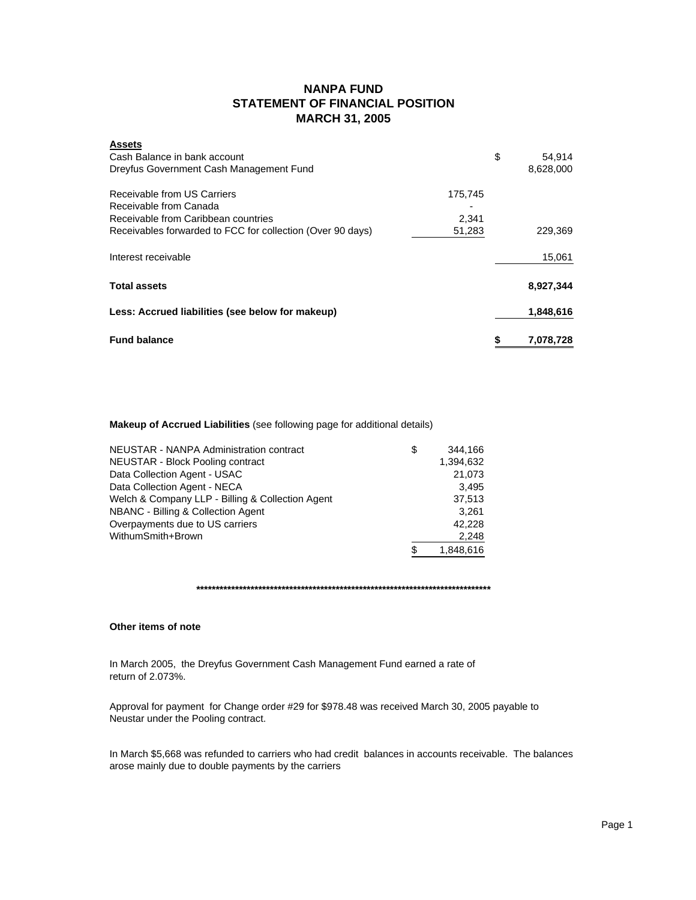# **NANPA FUND STATEMENT OF FINANCIAL POSITION MARCH 31, 2005**

| <b>Assets</b>                                              |         |           |
|------------------------------------------------------------|---------|-----------|
| Cash Balance in bank account                               | \$      | 54,914    |
| Dreyfus Government Cash Management Fund                    |         | 8,628,000 |
| Receivable from US Carriers                                | 175,745 |           |
| Receivable from Canada                                     |         |           |
| Receivable from Caribbean countries                        | 2,341   |           |
| Receivables forwarded to FCC for collection (Over 90 days) | 51,283  | 229,369   |
| Interest receivable                                        |         | 15,061    |
| <b>Total assets</b>                                        |         | 8,927,344 |
| Less: Accrued liabilities (see below for makeup)           |         | 1,848,616 |
| <b>Fund balance</b>                                        |         | 7,078,728 |

**Makeup of Accrued Liabilities** (see following page for additional details)

| <b>NEUSTAR - NANPA Administration contract</b>   | S | 344.166   |
|--------------------------------------------------|---|-----------|
| NEUSTAR - Block Pooling contract                 |   | 1.394.632 |
| Data Collection Agent - USAC                     |   | 21.073    |
| Data Collection Agent - NECA                     |   | 3.495     |
| Welch & Company LLP - Billing & Collection Agent |   | 37.513    |
| NBANC - Billing & Collection Agent               |   | 3.261     |
| Overpayments due to US carriers                  |   | 42.228    |
| WithumSmith+Brown                                |   | 2.248     |
|                                                  |   | 1.848.616 |

**\*\*\*\*\*\*\*\*\*\*\*\*\*\*\*\*\*\*\*\*\*\*\*\*\*\*\*\*\*\*\*\*\*\*\*\*\*\*\*\*\*\*\*\*\*\*\*\*\*\*\*\*\*\*\*\*\*\*\*\*\*\*\*\*\*\*\*\*\*\*\*\*\*\*\*\***

## **Other items of note**

In March 2005, the Dreyfus Government Cash Management Fund earned a rate of return of 2.073%.

Approval for payment for Change order #29 for \$978.48 was received March 30, 2005 payable to Neustar under the Pooling contract.

In March \$5,668 was refunded to carriers who had credit balances in accounts receivable. The balances arose mainly due to double payments by the carriers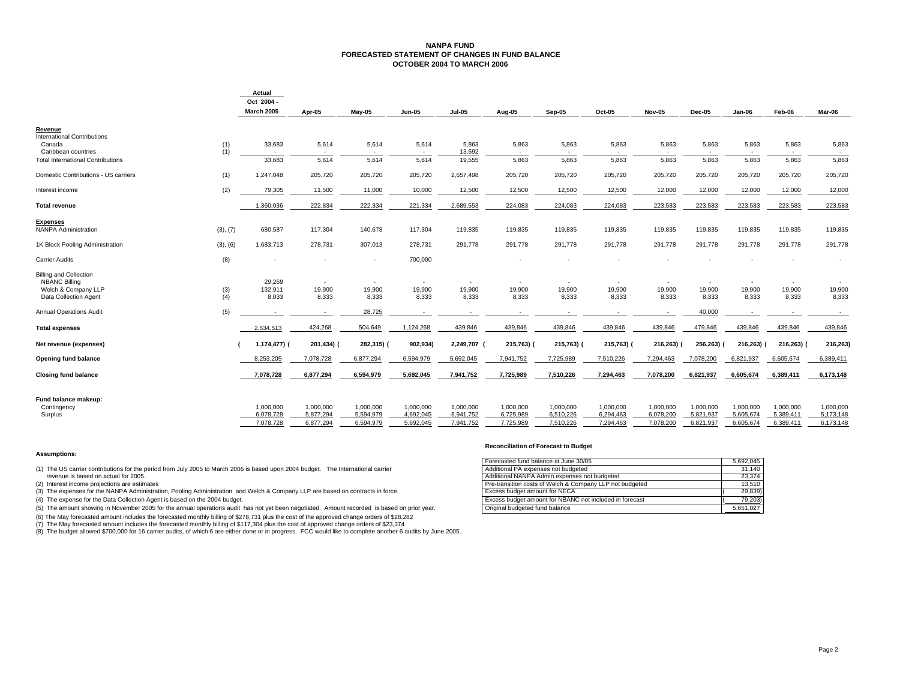### **NANPA FUND FORECASTED STATEMENT OF CHANGES IN FUND BALANCEOCTOBER 2004 TO MARCH 2006**

|                                          |          | Actual            |                          |           |                          |               |            |            |            |           |            |           |            |           |
|------------------------------------------|----------|-------------------|--------------------------|-----------|--------------------------|---------------|------------|------------|------------|-----------|------------|-----------|------------|-----------|
|                                          |          | Oct 2004 -        |                          |           |                          |               |            |            |            |           |            |           |            |           |
|                                          |          | <b>March 2005</b> | Apr-05                   | May-05    | <b>Jun-05</b>            | <b>Jul-05</b> | Aug-05     | Sep-05     | Oct-05     | Nov-05    | Dec-05     | $Jan-06$  | Feb-06     | Mar-06    |
| Revenue                                  |          |                   |                          |           |                          |               |            |            |            |           |            |           |            |           |
| <b>International Contributions</b>       |          |                   |                          |           |                          |               |            |            |            |           |            |           |            |           |
| Canada                                   | (1)      | 33,683            | 5,614                    | 5,614     | 5,614                    | 5,863         | 5,863      | 5,863      | 5,863      | 5,863     | 5,863      | 5,863     | 5,863      | 5,863     |
| Caribbean countries                      | (1)      | $\sim$            | $\sim$                   | $\sim$    | $\sim$                   | 13,692        | $\sim$     | $\sim$     | $\sim$     | $\sim$    | $\sim$     | $\sim$    | <b>COL</b> |           |
| <b>Total International Contributions</b> |          | 33,683            | 5,614                    | 5,614     | 5,614                    | 19,555        | 5,863      | 5,863      | 5,863      | 5,863     | 5,863      | 5,863     | 5,863      | 5,863     |
| Domestic Contributions - US carriers     | (1)      | 1.247.048         | 205,720                  | 205,720   | 205,720                  | 2,657,498     | 205,720    | 205,720    | 205,720    | 205,720   | 205,720    | 205,720   | 205,720    | 205,720   |
| Interest income                          | (2)      | 79.305            | 11,500                   | 11,000    | 10,000                   | 12,500        | 12,500     | 12.500     | 12,500     | 12,000    | 12,000     | 12,000    | 12,000     | 12,000    |
| <b>Total revenue</b>                     |          | 1,360,036         | 222,834                  | 222,334   | 221,334                  | 2,689,553     | 224,083    | 224,083    | 224,083    | 223,583   | 223,583    | 223,583   | 223,583    | 223,583   |
| <b>Expenses</b>                          |          |                   |                          |           |                          |               |            |            |            |           |            |           |            |           |
| <b>NANPA Administration</b>              | (3), (7) | 680,587           | 117,304                  | 140,678   | 117,304                  | 119,835       | 119,835    | 119,835    | 119,835    | 119,835   | 119,835    | 119,835   | 119,835    | 119,835   |
| 1K Block Pooling Administration          | (3), (6) | 1,683,713         | 278,731                  | 307,013   | 278,731                  | 291,778       | 291,778    | 291,778    | 291,778    | 291,778   | 291,778    | 291,778   | 291,778    | 291,778   |
| <b>Carrier Audits</b>                    | (8)      |                   | $\overline{\phantom{a}}$ | ٠         | 700,000                  |               |            |            |            |           |            |           |            | ٠         |
| <b>Billing and Collection</b>            |          |                   |                          |           |                          |               |            |            |            |           |            |           |            |           |
| <b>NBANC Billing</b>                     |          | 29,269            | $\sim$                   | $\sim$    | $\overline{\phantom{a}}$ | $\sim$        | $\sim$     | $\sim$     | $\sim$     | $\sim$    | ٠          | $\sim$    | $\sim$     |           |
| Welch & Company LLP                      | (3)      | 132,911           | 19,900                   | 19,900    | 19,900                   | 19,900        | 19,900     | 19,900     | 19,900     | 19,900    | 19,900     | 19,900    | 19,900     | 19,900    |
| Data Collection Agent                    | (4)      | 8,033             | 8,333                    | 8,333     | 8,333                    | 8,333         | 8,333      | 8,333      | 8,333      | 8,333     | 8,333      | 8,333     | 8,333      | 8,333     |
| <b>Annual Operations Audit</b>           | (5)      |                   | $\overline{\phantom{a}}$ | 28,725    |                          |               |            |            |            | $\sim$    | 40,000     |           |            |           |
| <b>Total expenses</b>                    |          | 2,534,513         | 424,268                  | 504,649   | 1,124,268                | 439,846       | 439,846    | 439,846    | 439,846    | 439,846   | 479,846    | 439,846   | 439,846    | 439,846   |
| Net revenue (expenses)                   |          | 1,174,477) (      | 201,434) (               | 282,315)  | 902,934)                 | 2,249,707 (   | 215,763) ( | 215,763) ( | 215,763) ( | 216,263)  | 256,263) ( | 216,263)  | 216,263)   | 216,263)  |
| Opening fund balance                     |          | 8.253.205         | 7,078,728                | 6,877,294 | 6,594,979                | 5,692,045     | 7,941,752  | 7,725,989  | 7,510,226  | 7,294,463 | 7,078,200  | 6,821,937 | 6,605,674  | 6,389,411 |
| <b>Closing fund balance</b>              |          | 7,078,728         | 6,877,294                | 6,594,979 | 5.692.045                | 7,941,752     | 7,725,989  | 7,510,226  | 7,294,463  | 7.078.200 | 6,821,937  | 6,605,674 | 6,389,411  | 6,173,148 |
|                                          |          |                   |                          |           |                          |               |            |            |            |           |            |           |            |           |
| Fund balance makeup:                     |          |                   |                          |           |                          |               |            |            |            |           |            |           |            |           |
| Contingency                              |          | 1,000,000         | 1,000,000                | 1,000,000 | 1,000,000                | 1,000,000     | 1,000,000  | 1,000,000  | 1,000,000  | 1,000,000 | 1,000,000  | 1,000,000 | 1,000,000  | 1,000,000 |
| Surplus                                  |          | 6,078,728         | 5,877,294                | 5,594,979 | 4,692,045                | 6,941,752     | 6,725,989  | 6,510,226  | 6,294,463  | 6,078,200 | 5,821,937  | 5,605,674 | 5,389,411  | 5,173,148 |
|                                          |          | 7,078,728         | 6,877,294                | 6,594,979 | 5,692,045                | 7,941,752     | 7,725,989  | 7,510,226  | 7,294,463  | 7,078,200 | 6,821,937  | 6,605,674 | 6,389,411  | 6,173,148 |

#### **Assumptions:**

(5) The amount showing in November 2005 for the annual operations audit has not yet been negotiated. Amount recorded is based on prior year.

(6) The May forecasted amount includes the forecasted monthly billing of \$278,731 plus the cost of the approved change orders of \$28,282<br>(7) The May forecasted amount includes the forecasted monthly billing of \$117,304 pl

#### **Reconciliation of Forecast to Budget**

| 5.692.045 |
|-----------|
| 31.140    |
| 23.374    |
| 13.510    |
| 29,839    |
| 79.203    |
| 5.651.027 |
|           |